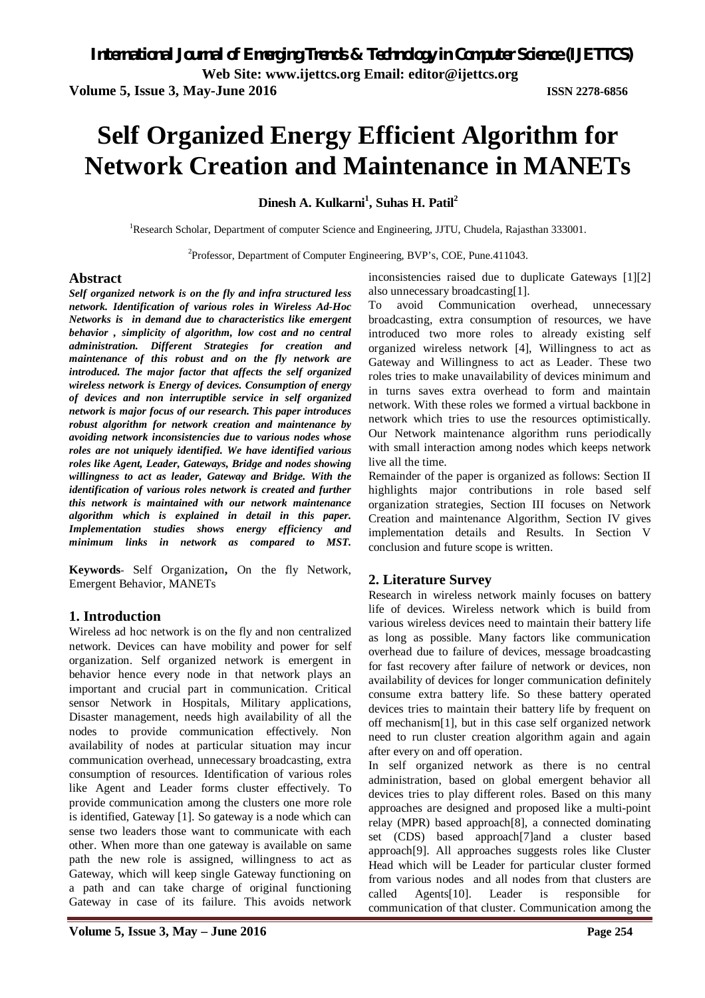**Volume 5, Issue 3, May-June 2016 ISSN 2278-6856**

# **Self Organized Energy Efficient Algorithm for Network Creation and Maintenance in MANETs**

**Dinesh A. Kulkarni<sup>1</sup> , Suhas H. Patil<sup>2</sup>**

<sup>1</sup>Research Scholar, Department of computer Science and Engineering, JJTU, Chudela, Rajasthan 333001.

<sup>2</sup>Professor, Department of Computer Engineering, BVP's, COE, Pune.411043.

# **Abstract**

*Self organized network is on the fly and infra structured less network. Identification of various roles in Wireless Ad-Hoc Networks is in demand due to characteristics like emergent behavior , simplicity of algorithm, low cost and no central administration. Different Strategies for creation and maintenance of this robust and on the fly network are introduced. The major factor that affects the self organized wireless network is Energy of devices. Consumption of energy of devices and non interruptible service in self organized network is major focus of our research. This paper introduces robust algorithm for network creation and maintenance by avoiding network inconsistencies due to various nodes whose roles are not uniquely identified. We have identified various roles like Agent, Leader, Gateways, Bridge and nodes showing willingness to act as leader, Gateway and Bridge. With the identification of various roles network is created and further this network is maintained with our network maintenance algorithm which is explained in detail in this paper. Implementation studies shows energy efficiency and minimum links in network as compared to MST.*

**Keywords**- Self Organization**,** On the fly Network, Emergent Behavior, MANETs

# **1. Introduction**

Wireless ad hoc network is on the fly and non centralized network. Devices can have mobility and power for self organization. Self organized network is emergent in behavior hence every node in that network plays an important and crucial part in communication. Critical sensor Network in Hospitals, Military applications, Disaster management, needs high availability of all the nodes to provide communication effectively. Non availability of nodes at particular situation may incur communication overhead, unnecessary broadcasting, extra consumption of resources. Identification of various roles like Agent and Leader forms cluster effectively. To provide communication among the clusters one more role is identified, Gateway [1]. So gateway is a node which can sense two leaders those want to communicate with each other. When more than one gateway is available on same path the new role is assigned, willingness to act as Gateway, which will keep single Gateway functioning on a path and can take charge of original functioning Gateway in case of its failure. This avoids network

inconsistencies raised due to duplicate Gateways [1][2] also unnecessary broadcasting[1].

To avoid Communication overhead, unnecessary broadcasting, extra consumption of resources, we have introduced two more roles to already existing self organized wireless network [4], Willingness to act as Gateway and Willingness to act as Leader. These two roles tries to make unavailability of devices minimum and in turns saves extra overhead to form and maintain network. With these roles we formed a virtual backbone in network which tries to use the resources optimistically. Our Network maintenance algorithm runs periodically with small interaction among nodes which keeps network live all the time.

Remainder of the paper is organized as follows: Section II highlights major contributions in role based self organization strategies, Section III focuses on Network Creation and maintenance Algorithm, Section IV gives implementation details and Results. In Section V conclusion and future scope is written.

# **2. Literature Survey**

Research in wireless network mainly focuses on battery life of devices. Wireless network which is build from various wireless devices need to maintain their battery life as long as possible. Many factors like communication overhead due to failure of devices, message broadcasting for fast recovery after failure of network or devices, non availability of devices for longer communication definitely consume extra battery life. So these battery operated devices tries to maintain their battery life by frequent on off mechanism[1], but in this case self organized network need to run cluster creation algorithm again and again after every on and off operation.

In self organized network as there is no central administration, based on global emergent behavior all devices tries to play different roles. Based on this many approaches are designed and proposed like a multi-point relay (MPR) based approach[8], a connected dominating set (CDS) based approach[7]and a cluster based approach[9]. All approaches suggests roles like Cluster Head which will be Leader for particular cluster formed from various nodes and all nodes from that clusters are called Agents[10]. Leader is responsible for communication of that cluster. Communication among the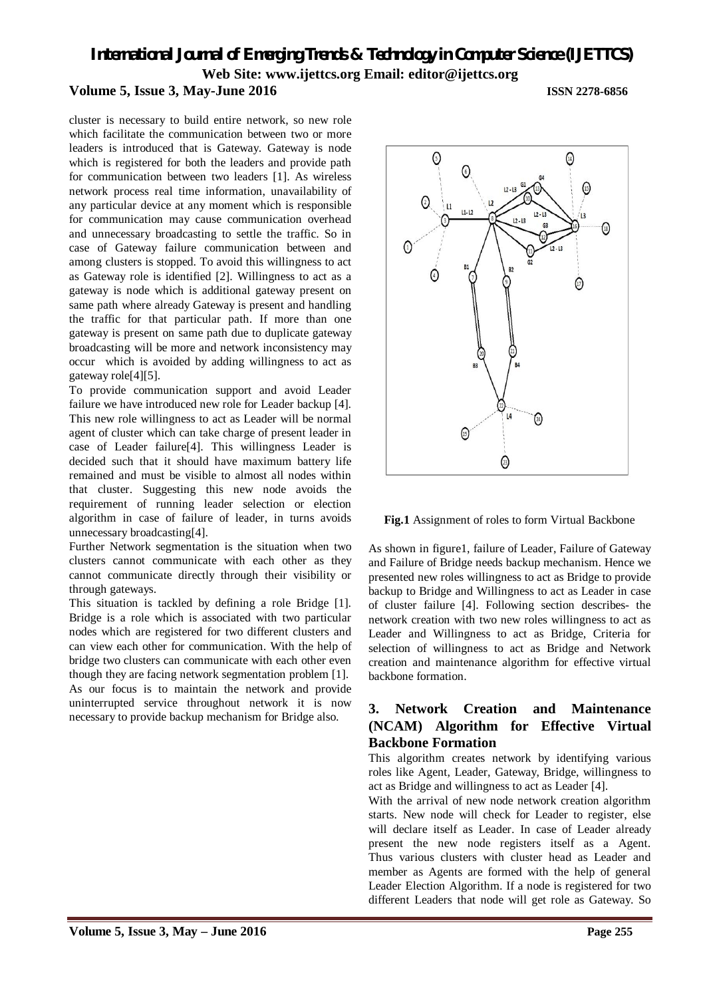*International Journal of Emerging Trends & Technology in Computer Science (IJETTCS)* **Web Site: www.ijettcs.org Email: editor@ijettcs.org** 

### **Volume 5, Issue 3, May-June 2016 ISSN 2278-6856**

cluster is necessary to build entire network, so new role which facilitate the communication between two or more leaders is introduced that is Gateway. Gateway is node which is registered for both the leaders and provide path for communication between two leaders [1]. As wireless network process real time information, unavailability of any particular device at any moment which is responsible for communication may cause communication overhead and unnecessary broadcasting to settle the traffic. So in case of Gateway failure communication between and among clusters is stopped. To avoid this willingness to act as Gateway role is identified [2]. Willingness to act as a gateway is node which is additional gateway present on same path where already Gateway is present and handling the traffic for that particular path. If more than one gateway is present on same path due to duplicate gateway broadcasting will be more and network inconsistency may occur which is avoided by adding willingness to act as gateway role[4][5].

To provide communication support and avoid Leader failure we have introduced new role for Leader backup [4]. This new role willingness to act as Leader will be normal agent of cluster which can take charge of present leader in case of Leader failure[4]. This willingness Leader is decided such that it should have maximum battery life remained and must be visible to almost all nodes within that cluster. Suggesting this new node avoids the requirement of running leader selection or election algorithm in case of failure of leader, in turns avoids unnecessary broadcasting[4].

Further Network segmentation is the situation when two clusters cannot communicate with each other as they cannot communicate directly through their visibility or through gateways.

This situation is tackled by defining a role Bridge [1]. Bridge is a role which is associated with two particular nodes which are registered for two different clusters and can view each other for communication. With the help of bridge two clusters can communicate with each other even though they are facing network segmentation problem [1]. As our focus is to maintain the network and provide uninterrupted service throughout network it is now necessary to provide backup mechanism for Bridge also.



**Fig.1** Assignment of roles to form Virtual Backbone

As shown in figure1, failure of Leader, Failure of Gateway and Failure of Bridge needs backup mechanism. Hence we presented new roles willingness to act as Bridge to provide backup to Bridge and Willingness to act as Leader in case of cluster failure [4]. Following section describes- the network creation with two new roles willingness to act as Leader and Willingness to act as Bridge, Criteria for selection of willingness to act as Bridge and Network creation and maintenance algorithm for effective virtual backbone formation.

# **3. Network Creation and Maintenance (NCAM) Algorithm for Effective Virtual Backbone Formation**

This algorithm creates network by identifying various roles like Agent, Leader, Gateway, Bridge, willingness to act as Bridge and willingness to act as Leader [4].

With the arrival of new node network creation algorithm starts. New node will check for Leader to register, else will declare itself as Leader. In case of Leader already present the new node registers itself as a Agent. Thus various clusters with cluster head as Leader and member as Agents are formed with the help of general Leader Election Algorithm. If a node is registered for two different Leaders that node will get role as Gateway. So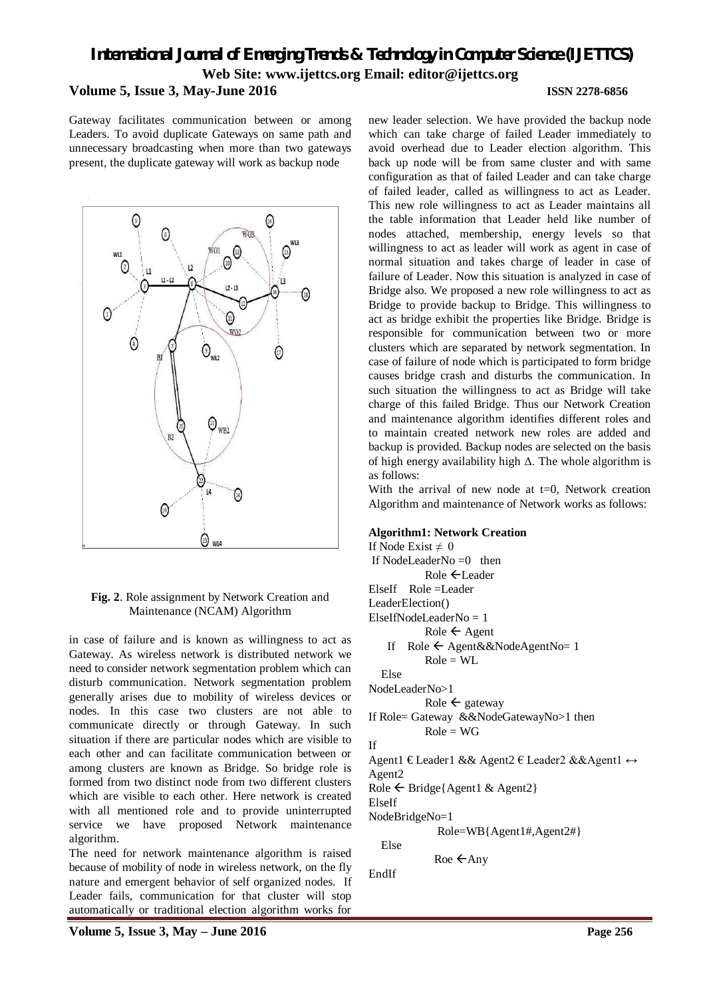# *International Journal of Emerging Trends & Technology in Computer Science (IJETTCS)* **Web Site: www.ijettcs.org Email: editor@ijettcs.org Volume 5, Issue 3, May-June 2016 ISSN 2278-6856**

Gateway facilitates communication between or among Leaders. To avoid duplicate Gateways on same path and unnecessary broadcasting when more than two gateways present, the duplicate gateway will work as backup node



#### **Fig. 2**. Role assignment by Network Creation and Maintenance (NCAM) Algorithm

in case of failure and is known as willingness to act as Gateway. As wireless network is distributed network we need to consider network segmentation problem which can disturb communication. Network segmentation problem generally arises due to mobility of wireless devices or nodes. In this case two clusters are not able to communicate directly or through Gateway. In such situation if there are particular nodes which are visible to each other and can facilitate communication between or among clusters are known as Bridge. So bridge role is formed from two distinct node from two different clusters which are visible to each other. Here network is created with all mentioned role and to provide uninterrupted service we have proposed Network maintenance algorithm.

The need for network maintenance algorithm is raised because of mobility of node in wireless network, on the fly nature and emergent behavior of self organized nodes. If Leader fails, communication for that cluster will stop automatically or traditional election algorithm works for

new leader selection. We have provided the backup node which can take charge of failed Leader immediately to avoid overhead due to Leader election algorithm. This back up node will be from same cluster and with same configuration as that of failed Leader and can take charge of failed leader, called as willingness to act as Leader. This new role willingness to act as Leader maintains all the table information that Leader held like number of nodes attached, membership, energy levels so that willingness to act as leader will work as agent in case of normal situation and takes charge of leader in case of failure of Leader. Now this situation is analyzed in case of Bridge also. We proposed a new role willingness to act as Bridge to provide backup to Bridge. This willingness to act as bridge exhibit the properties like Bridge. Bridge is responsible for communication between two or more clusters which are separated by network segmentation. In case of failure of node which is participated to form bridge causes bridge crash and disturbs the communication. In such situation the willingness to act as Bridge will take charge of this failed Bridge. Thus our Network Creation and maintenance algorithm identifies different roles and to maintain created network new roles are added and backup is provided. Backup nodes are selected on the basis of high energy availability high  $\Delta$ . The whole algorithm is as follows:

With the arrival of new node at  $t=0$ . Network creation Algorithm and maintenance of Network works as follows:

#### **Algorithm1: Network Creation**

If Node Exist  $\neq 0$ If NodeLeaderNo  $=0$  then Role **←Leader** ElseIf Role =Leader LeaderElection() ElseIfNodeLeaderNo = 1  $Role \leftarrow Agent$ If  $Role \leftarrow Agent&&NodeAgentNo=1$  $Role = WL$  Else NodeLeaderNo>1 Role  $\leftarrow$  gateway If Role= Gateway &&NodeGatewayNo>1 then  $Role = WG$ If Agent1 € Leader1 & & Agent2 € Leader2 & & Agent1 ↔ Agent2 Role  $\leftarrow$  Bridge{Agent1 & Agent2} ElseIf NodeBridgeNo=1 Role=WB{Agent1#,Agent2#} Else

EndIf

Roe  $\leftarrow$ Any

**Volume 5, Issue 3, May – June 2016 Page 256**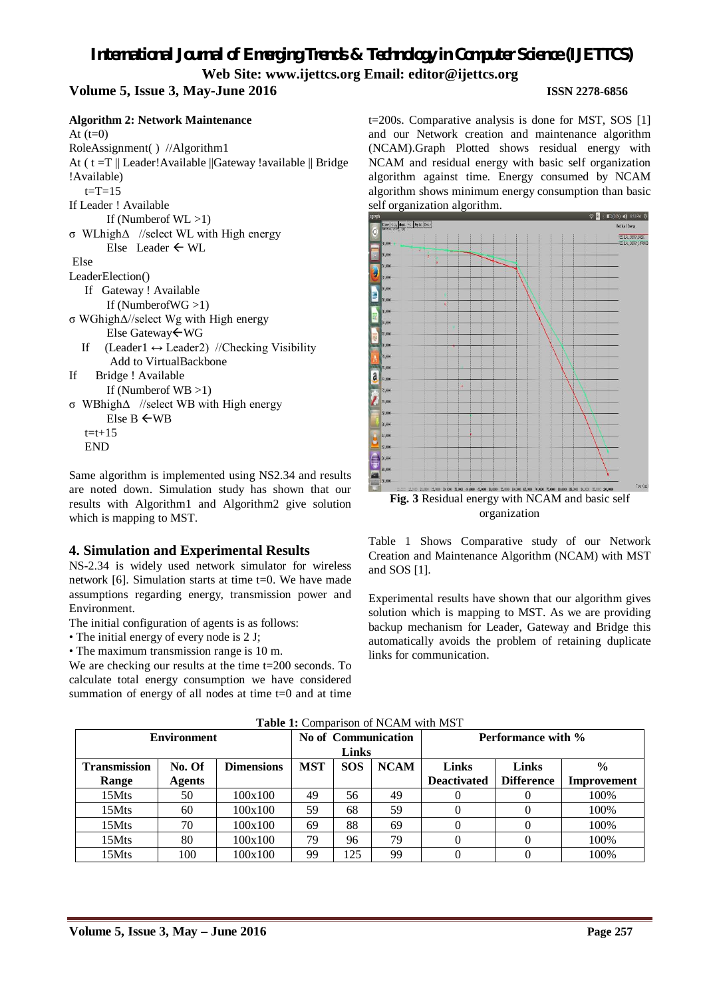# *International Journal of Emerging Trends & Technology in Computer Science (IJETTCS)* **Web Site: www.ijettcs.org Email: editor@ijettcs.org**

# **Volume 5, Issue 3, May-June 2016 ISSN 2278-6856**

| <b>Algorithm 2: Network Maintenance</b>                      |
|--------------------------------------------------------------|
| At $(t=0)$                                                   |
| RoleAssignment() //Algorithm1                                |
| At (t=T    Leader!Available   Gateway !available    Bridge   |
| !Available)                                                  |
| $t = T = 15$                                                 |
| If Leader! Available                                         |
| If (Number of $WL > 1$ )                                     |
| $\sigma$ WL high $\Delta$ //select WL with High energy       |
| Else Leader $\leftarrow$ WL                                  |
| Else                                                         |
| LeaderElection()                                             |
| If Gateway! Available                                        |
| If (NumberofWG $>1$ )                                        |
| $\sigma$ WGhigh $\Delta$ //select Wg with High energy        |
| Else Gateway ← WG                                            |
| If (Leader1 $\leftrightarrow$ Leader2) //Checking Visibility |
| Add to VirtualBackbone                                       |
| If Bridge ! Available                                        |
| If (Number of $WB >1$ )                                      |
| $\sigma$ WBhigh $\Delta$ //select WB with High energy        |
| Else B $\leftarrow$ WB                                       |
| $t = t + 15$                                                 |
| END                                                          |

Same algorithm is implemented using NS2.34 and results are noted down. Simulation study has shown that our results with Algorithm1 and Algorithm2 give solution which is mapping to MST.

### **4. Simulation and Experimental Results**

NS-2.34 is widely used network simulator for wireless network [6]. Simulation starts at time t=0. We have made assumptions regarding energy, transmission power and Environment.

The initial configuration of agents is as follows:

• The initial energy of every node is 2 J;

• The maximum transmission range is 10 m.

We are checking our results at the time t=200 seconds. To calculate total energy consumption we have considered summation of energy of all nodes at time  $t=0$  and at time

t=200s. Comparative analysis is done for MST, SOS [1] and our Network creation and maintenance algorithm (NCAM).Graph Plotted shows residual energy with NCAM and residual energy with basic self organization algorithm against time. Energy consumed by NCAM algorithm shows minimum energy consumption than basic self organization algorithm.



Table 1 Shows Comparative study of our Network Creation and Maintenance Algorithm (NCAM) with MST and SOS [1].

Experimental results have shown that our algorithm gives solution which is mapping to MST. As we are providing backup mechanism for Leader, Gateway and Bridge this automatically avoids the problem of retaining duplicate links for communication.

| <b>Table 1:</b> Combarison of NCAM with MST |        |                   |                     |            |             |                           |                   |               |  |
|---------------------------------------------|--------|-------------------|---------------------|------------|-------------|---------------------------|-------------------|---------------|--|
| <b>Environment</b>                          |        |                   | No of Communication |            |             | <b>Performance with %</b> |                   |               |  |
|                                             |        |                   | <b>Links</b>        |            |             |                           |                   |               |  |
| <b>Transmission</b>                         | No. Of | <b>Dimensions</b> | <b>MST</b>          | <b>SOS</b> | <b>NCAM</b> | <b>Links</b>              | <b>Links</b>      | $\frac{0}{0}$ |  |
| Range                                       | Agents |                   |                     |            |             | <b>Deactivated</b>        | <b>Difference</b> | Improvement   |  |
| 15Mts                                       | 50     | 100x100           | 49                  | 56         | 49          |                           |                   | 100%          |  |
| 15Mts                                       | 60     | 100x100           | 59                  | 68         | 59          |                           |                   | 100%          |  |
| 15Mts                                       | 70     | 100x100           | 69                  | 88         | 69          |                           |                   | 100%          |  |
| 15Mts                                       | 80     | 100x100           | 79                  | 96         | 79          |                           |                   | 100%          |  |
| 15Mts                                       | 100    | 100x100           | 99                  | 125        | 99          |                           |                   | 100%          |  |

#### Table 1: Comparison of NCAM with MST